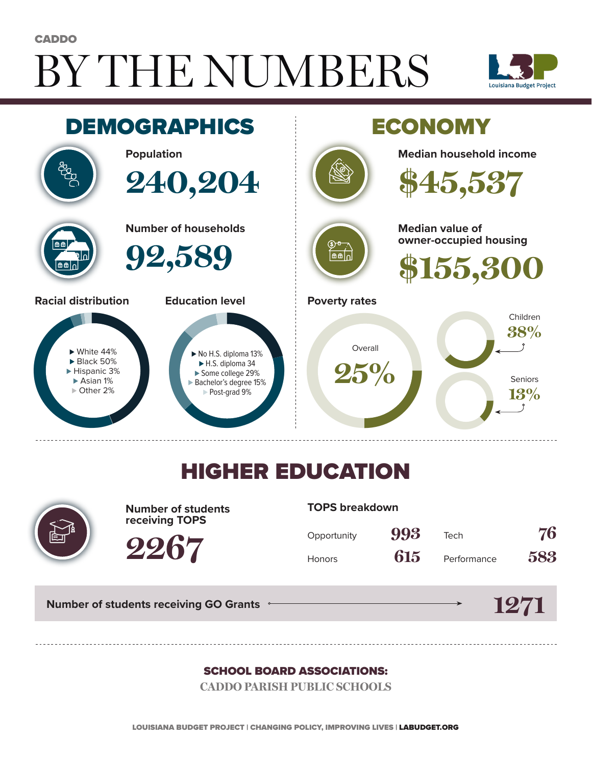# BY THE NUMBERS **CADDO**





#### HIGHER EDUCATION



**Number of students receiving TOPS**

**2267**

**TOPS breakdown**

| Opportunity   | 993 | Tech        | 76  |
|---------------|-----|-------------|-----|
| <b>Honors</b> | 615 | Performance | 583 |

**Number of students receiving GO Grants**



#### SCHOOL BOARD ASSOCIATIONS:

**CADDO PARISH PUBLIC SCHOOLS**